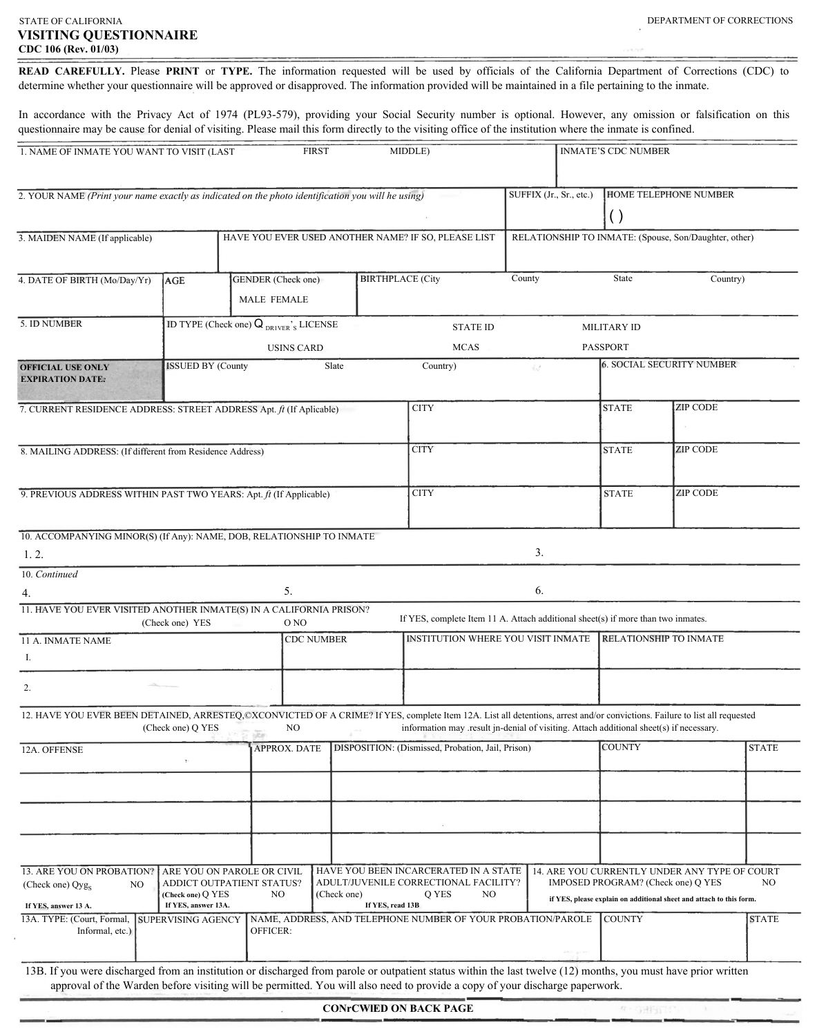## *STATE OF CALIFORNIA VISITING QUESTIONNAIRE CDC 106 (Rev. 01/03)*

READ CAREFULLY. Please PRINT or TYPE. The information requested will be used by officials of the California Department of Corrections (CDC) to determine whether your questionnaire will be approved or disapproved. The information provided will be maintained in a file pertaining to the inmate.

In accordance with the Privacy Act of 1974 (PL93-579), providing your Social Security number is optional. However, any omission or falsification on this questionnaire may be cause for denial of visiting. Please mail this form directly to the visiting office of the institution where the inmate is confined.

| 1. NAME OF INMATE YOU WANT TO VISIT (LAST                                                                                                                                  |                                                                                                     |                                                       | <b>FIRST</b>                                        |                                                                | MIDDLE)                                                                                                                     |                    |                                                       | <b>INMATE'S CDC NUMBER</b> |                                                                                                                                                            |              |
|----------------------------------------------------------------------------------------------------------------------------------------------------------------------------|-----------------------------------------------------------------------------------------------------|-------------------------------------------------------|-----------------------------------------------------|----------------------------------------------------------------|-----------------------------------------------------------------------------------------------------------------------------|--------------------|-------------------------------------------------------|----------------------------|------------------------------------------------------------------------------------------------------------------------------------------------------------|--------------|
| 2. YOUR NAME (Print your name exactly as indicated on the photo identification you will he using)                                                                          |                                                                                                     |                                                       | SUFFIX (Jr., Sr., etc.)                             | <b>HOME TELEPHONE NUMBER</b><br>$\left( \ \right)$             |                                                                                                                             |                    |                                                       |                            |                                                                                                                                                            |              |
| 3. MAIDEN NAME (If applicable)                                                                                                                                             |                                                                                                     |                                                       | HAVE YOU EVER USED ANOTHER NAME? IF SO, PLEASE LIST |                                                                |                                                                                                                             |                    | RELATIONSHIP TO INMATE: (Spouse, Son/Daughter, other) |                            |                                                                                                                                                            |              |
| 4. DATE OF BIRTH (Mo/Day/Yr)                                                                                                                                               | AGE                                                                                                 | GENDER (Check one)<br>$\Box$<br>$\Box$<br>MALE FEMALE |                                                     |                                                                | <b>BIRTHPLACE</b> (City                                                                                                     | County             |                                                       | State                      | Country)                                                                                                                                                   |              |
| 5. ID NUMBER                                                                                                                                                               | ID TYPE (Check one) $Q_{DRIVER}$ 's LICENSE                                                         |                                                       |                                                     |                                                                | <b>STATE ID</b>                                                                                                             | <b>MILITARY ID</b> |                                                       |                            |                                                                                                                                                            |              |
|                                                                                                                                                                            |                                                                                                     |                                                       | <b>USINS CARD</b>                                   |                                                                | <b>MCAS</b>                                                                                                                 |                    |                                                       | <b>PASSPORT</b>            |                                                                                                                                                            |              |
| <b>OFFICIAL USE ONLY</b><br><b>EXPIRATION DATE:</b>                                                                                                                        | <b>ISSUED BY (County</b>                                                                            |                                                       |                                                     | Slate                                                          | Country)                                                                                                                    | 安定                 |                                                       |                            | <b>6. SOCIAL SECURITY NUMBER</b>                                                                                                                           |              |
| 7. CURRENT RESIDENCE ADDRESS: STREET ADDRESS Apt. ft (If Aplicable)                                                                                                        |                                                                                                     |                                                       |                                                     |                                                                | <b>CITY</b>                                                                                                                 |                    |                                                       | <b>STATE</b>               | <b>ZIP CODE</b>                                                                                                                                            |              |
| 8. MAILING ADDRESS: (If different from Residence Address)                                                                                                                  |                                                                                                     |                                                       |                                                     | <b>CITY</b>                                                    |                                                                                                                             |                    | <b>STATE</b>                                          | <b>ZIP CODE</b>            |                                                                                                                                                            |              |
| 9. PREVIOUS ADDRESS WITHIN PAST TWO YEARS: Apt. ft (If Applicable)                                                                                                         |                                                                                                     |                                                       |                                                     | <b>CITY</b>                                                    |                                                                                                                             |                    | <b>STATE</b>                                          | <b>ZIP CODE</b>            |                                                                                                                                                            |              |
| 10. ACCOMPANYING MINOR(S) (If Any): NAME, DOB, RELATIONSHIP TO INMATE<br>1, 2.                                                                                             |                                                                                                     |                                                       |                                                     |                                                                |                                                                                                                             | 3.                 |                                                       |                            |                                                                                                                                                            |              |
| 10. Continued                                                                                                                                                              |                                                                                                     |                                                       |                                                     |                                                                |                                                                                                                             |                    |                                                       |                            |                                                                                                                                                            |              |
| 4.                                                                                                                                                                         |                                                                                                     |                                                       | 5.                                                  |                                                                |                                                                                                                             | 6.                 |                                                       |                            |                                                                                                                                                            |              |
| 11. HAVE YOU EVER VISITED ANOTHER INMATE(S) IN A CALIFORNIA PRISON?                                                                                                        |                                                                                                     |                                                       |                                                     |                                                                |                                                                                                                             |                    |                                                       |                            |                                                                                                                                                            |              |
|                                                                                                                                                                            | (Check one) YES                                                                                     |                                                       | O NO                                                |                                                                | If YES, complete Item 11 A. Attach additional sheet(s) if more than two inmates.                                            |                    |                                                       |                            |                                                                                                                                                            |              |
| 11 A. INMATE NAME                                                                                                                                                          |                                                                                                     |                                                       |                                                     | <b>INSTITUTION WHERE YOU VISIT INMATE</b><br><b>CDC NUMBER</b> |                                                                                                                             |                    | <b>RELATIONSHIP TO INMATE</b>                         |                            |                                                                                                                                                            |              |
| I.                                                                                                                                                                         |                                                                                                     |                                                       |                                                     |                                                                |                                                                                                                             |                    |                                                       |                            |                                                                                                                                                            |              |
| 2.                                                                                                                                                                         |                                                                                                     |                                                       |                                                     |                                                                |                                                                                                                             |                    |                                                       |                            |                                                                                                                                                            |              |
| 12. HAVE YOU EVER BEEN DETAINED, ARRESTEQ,©XCONVICTED OF A CRIME? If YES, complete Item 12A. List all detentions, arrest and/or convictions. Failure to list all requested | (Check one) $Q$ YES                                                                                 |                                                       | $NO$                                                |                                                                | information may result in-denial of visiting. Attach additional sheet(s) if necessary.                                      |                    |                                                       |                            |                                                                                                                                                            |              |
| 12A. OFFENSE                                                                                                                                                               |                                                                                                     |                                                       | <b>APPROX. DATE</b>                                 |                                                                | DISPOSITION: (Dismissed, Probation, Jail, Prison)                                                                           |                    |                                                       | <b>COUNTY</b>              |                                                                                                                                                            | <b>STATE</b> |
|                                                                                                                                                                            |                                                                                                     |                                                       |                                                     |                                                                |                                                                                                                             |                    |                                                       |                            |                                                                                                                                                            |              |
|                                                                                                                                                                            |                                                                                                     |                                                       |                                                     |                                                                |                                                                                                                             |                    |                                                       |                            |                                                                                                                                                            |              |
| 13. ARE YOU ON PROBATION?<br>(Check one) $Qyg_S$<br>NO<br>If YES, answer 13 A.                                                                                             | ARE YOU ON PAROLE OR CIVIL<br>ADDICT OUTPATIENT STATUS?<br>(Check one) Q YES<br>If YES, answer 13A. |                                                       | NO                                                  | (Check one)                                                    | HAVE YOU BEEN INCARCERATED IN A STATE<br>ADULT/JUVENILE CORRECTIONAL FACILITY?<br>Q YES<br>NO<br>If YES, read 13B           |                    |                                                       |                            | 14. ARE YOU CURRENTLY UNDER ANY TYPE OF COURT<br>IMPOSED PROGRAM? (Check one) Q YES<br>if YES, please explain on additional sheet and attach to this form. | NO           |
| 13A. TYPE: (Court, Formal,<br>Informal, etc.)                                                                                                                              | <b>SUPERVISING AGENCY</b>                                                                           | OFFICER:                                              |                                                     |                                                                | NAME, ADDRESS, AND TELEPHONE NUMBER OF YOUR PROBATION/PAROLE                                                                |                    |                                                       | <b>COUNTY</b>              |                                                                                                                                                            | <b>STATE</b> |
| 13B. If you were discharged from an institution or discharged from parole or outpatient status within the last twelve (12) months, you must have prior written             |                                                                                                     |                                                       |                                                     |                                                                | approval of the Warden before visiting will be permitted. You will also need to provide a copy of your discharge paperwork. |                    |                                                       |                            |                                                                                                                                                            |              |
|                                                                                                                                                                            |                                                                                                     |                                                       |                                                     |                                                                | <b>CONrCWIED ON BACK PAGE</b>                                                                                               |                    |                                                       | 在一项报告门户                    |                                                                                                                                                            |              |